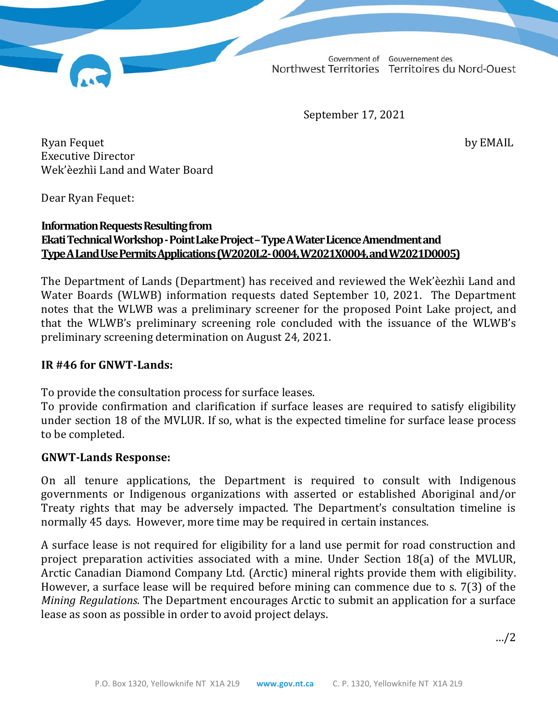Government of Gouvernement des Northwest Territories Territoires du Nord-Ouest

September 17, 2021

Ryan Fequet by EMAIL Executive Director Wek'èezhìi Land and Water Board

Dear Ryan Fequet:

## **Information Requests Resulting from Ekati Technical Workshop -Point Lake Project –Type A Water Licence Amendment and Type A Land Use Permits Applications (W2020L2-0004, W2021X0004, and W2021D0005)**

The Department of Lands (Department) has received and reviewed the Wek'èezhìi Land and Water Boards (WLWB) information requests dated September 10, 2021. The Department notes that the WLWB was a preliminary screener for the proposed Point Lake project, and that the WLWB's preliminary screening role concluded with the issuance of the WLWB's preliminary screening determination on August 24, 2021.

### **IR #46 for GNWT-Lands:**

To provide the consultation process for surface leases.

To provide confirmation and clarification if surface leases are required to satisfy eligibility under section 18 of the MVLUR. If so, what is the expected timeline for surface lease process to be completed.

### **GNWT-Lands Response:**

On all tenure applications, the Department is required to consult with Indigenous governments or Indigenous organizations with asserted or established Aboriginal and/or Treaty rights that may be adversely impacted. The Department's consultation timeline is normally 45 days. However, more time may be required in certain instances.

A surface lease is not required for eligibility for a land use permit for road construction and project preparation activities associated with a mine. Under Section 18(a) of the MVLUR, Arctic Canadian Diamond Company Ltd. (Arctic) mineral rights provide them with eligibility. However, a surface lease will be required before mining can commence due to s. 7(3) of the *Mining Regulations.* The Department encourages Arctic to submit an application for a surface lease as soon as possible in order to avoid project delays.

…/2